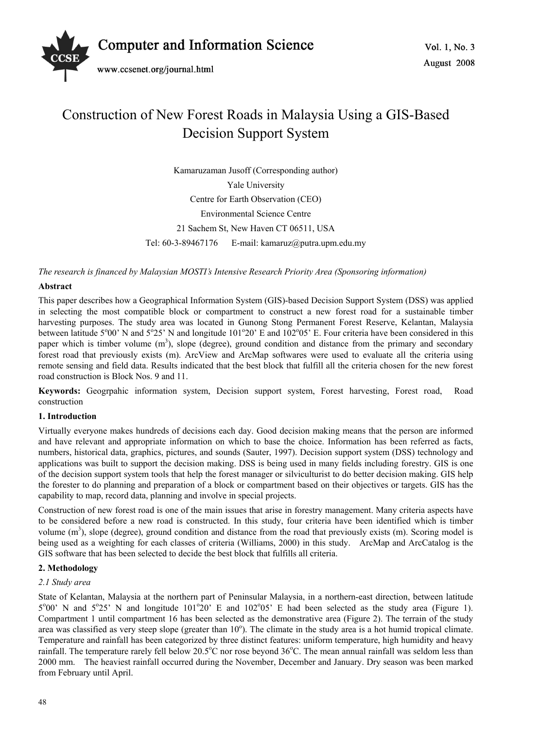

# Construction of New Forest Roads in Malaysia Using a GIS-Based Decision Support System

Kamaruzaman Jusoff (Corresponding author) Yale University Centre for Earth Observation (CEO) Environmental Science Centre 21 Sachem St, New Haven CT 06511, USA Tel: 60-3-89467176 E-mail: kamaruz@putra.upm.edu.my

*The research is financed by Malaysian MOSTI's Intensive Research Priority Area (Sponsoring information)* 

## **Abstract**

This paper describes how a Geographical Information System (GIS)-based Decision Support System (DSS) was applied in selecting the most compatible block or compartment to construct a new forest road for a sustainable timber harvesting purposes. The study area was located in Gunong Stong Permanent Forest Reserve, Kelantan, Malaysia between latitude 5°00' N and 5°25' N and longitude 101°20' E and 102°05' E. Four criteria have been considered in this paper which is timber volume  $(m<sup>3</sup>)$ , slope (degree), ground condition and distance from the primary and secondary forest road that previously exists (m). ArcView and ArcMap softwares were used to evaluate all the criteria using remote sensing and field data. Results indicated that the best block that fulfill all the criteria chosen for the new forest road construction is Block Nos. 9 and 11.

**Keywords:** Geogrpahic information system, Decision support system, Forest harvesting, Forest road, Road construction

## **1. Introduction**

Virtually everyone makes hundreds of decisions each day. Good decision making means that the person are informed and have relevant and appropriate information on which to base the choice. Information has been referred as facts, numbers, historical data, graphics, pictures, and sounds (Sauter, 1997). Decision support system (DSS) technology and applications was built to support the decision making. DSS is being used in many fields including forestry. GIS is one of the decision support system tools that help the forest manager or silviculturist to do better decision making. GIS help the forester to do planning and preparation of a block or compartment based on their objectives or targets. GIS has the capability to map, record data, planning and involve in special projects.

Construction of new forest road is one of the main issues that arise in forestry management. Many criteria aspects have to be considered before a new road is constructed. In this study, four criteria have been identified which is timber volume  $(m<sup>3</sup>)$ , slope (degree), ground condition and distance from the road that previously exists  $(m)$ . Scoring model is being used as a weighting for each classes of criteria (Williams, 2000) in this study. ArcMap and ArcCatalog is the GIS software that has been selected to decide the best block that fulfills all criteria.

## **2. Methodology**

## *2.1 Study area*

State of Kelantan, Malaysia at the northern part of Peninsular Malaysia, in a northern-east direction, between latitude  $5^{\circ}00'$  N and  $5^{\circ}25'$  N and longitude  $101^{\circ}20'$  E and  $102^{\circ}05'$  E had been selected as the study area (Figure 1). Compartment 1 until compartment 16 has been selected as the demonstrative area (Figure 2). The terrain of the study area was classified as very steep slope (greater than  $10^{\circ}$ ). The climate in the study area is a hot humid tropical climate. Temperature and rainfall has been categorized by three distinct features: uniform temperature, high humidity and heavy rainfall. The temperature rarely fell below 20.5°C nor rose beyond 36°C. The mean annual rainfall was seldom less than 2000 mm. The heaviest rainfall occurred during the November, December and January. Dry season was been marked from February until April.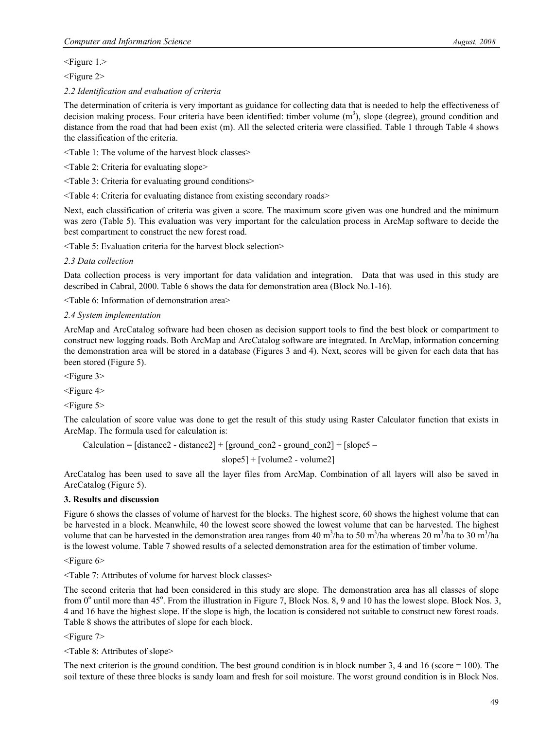<Figure 1.>

<Figure 2>

*2.2 Identification and evaluation of criteria* 

The determination of criteria is very important as guidance for collecting data that is needed to help the effectiveness of decision making process. Four criteria have been identified: timber volume  $(m<sup>3</sup>)$ , slope (degree), ground condition and distance from the road that had been exist (m). All the selected criteria were classified. Table 1 through Table 4 shows the classification of the criteria.

<Table 1: The volume of the harvest block classes>

<Table 2: Criteria for evaluating slope>

<Table 3: Criteria for evaluating ground conditions>

<Table 4: Criteria for evaluating distance from existing secondary roads>

Next, each classification of criteria was given a score. The maximum score given was one hundred and the minimum was zero (Table 5). This evaluation was very important for the calculation process in ArcMap software to decide the best compartment to construct the new forest road.

<Table 5: Evaluation criteria for the harvest block selection>

## *2.3 Data collection*

Data collection process is very important for data validation and integration. Data that was used in this study are described in Cabral, 2000. Table 6 shows the data for demonstration area (Block No.1-16).

<Table 6: Information of demonstration area>

#### *2.4 System implementation*

ArcMap and ArcCatalog software had been chosen as decision support tools to find the best block or compartment to construct new logging roads. Both ArcMap and ArcCatalog software are integrated. In ArcMap, information concerning the demonstration area will be stored in a database (Figures 3 and 4). Next, scores will be given for each data that has been stored (Figure 5).

<Figure 3>

<Figure 4>

<Figure 5>

The calculation of score value was done to get the result of this study using Raster Calculator function that exists in ArcMap. The formula used for calculation is:

Calculation =  $\lceil$  distance2 - distance2 $\rceil$  +  $\lceil$  ground con2 - ground con2 $\rceil$  +  $\lceil$  slope5 –

slope5] + [volume2 - volume2]

ArcCatalog has been used to save all the layer files from ArcMap. Combination of all layers will also be saved in ArcCatalog (Figure 5).

## **3. Results and discussion**

Figure 6 shows the classes of volume of harvest for the blocks. The highest score, 60 shows the highest volume that can be harvested in a block. Meanwhile, 40 the lowest score showed the lowest volume that can be harvested. The highest volume that can be harvested in the demonstration area ranges from 40 m<sup>3</sup>/ha to 50 m<sup>3</sup>/ha whereas 20 m<sup>3</sup>/ha to 30 m<sup>3</sup>/ha is the lowest volume. Table 7 showed results of a selected demonstration area for the estimation of timber volume.

 $\leq$ Figure 6>

<Table 7: Attributes of volume for harvest block classes>

The second criteria that had been considered in this study are slope. The demonstration area has all classes of slope from  $0^{\circ}$  until more than 45°. From the illustration in Figure 7, Block Nos. 8, 9 and 10 has the lowest slope. Block Nos. 3, 4 and 16 have the highest slope. If the slope is high, the location is considered not suitable to construct new forest roads. Table 8 shows the attributes of slope for each block.

<Figure 7>

<Table 8: Attributes of slope>

The next criterion is the ground condition. The best ground condition is in block number 3, 4 and 16 (score  $= 100$ ). The soil texture of these three blocks is sandy loam and fresh for soil moisture. The worst ground condition is in Block Nos.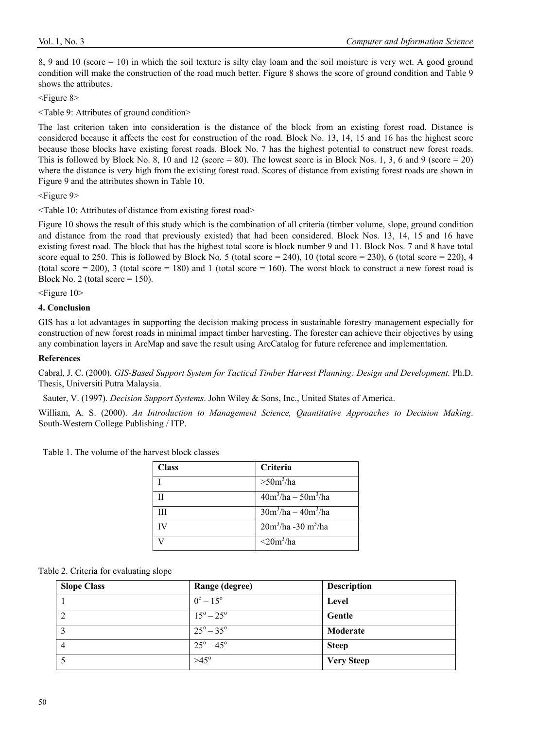8, 9 and 10 (score = 10) in which the soil texture is silty clay loam and the soil moisture is very wet. A good ground condition will make the construction of the road much better. Figure 8 shows the score of ground condition and Table 9 shows the attributes.

<Figure 8>

<Table 9: Attributes of ground condition>

The last criterion taken into consideration is the distance of the block from an existing forest road. Distance is considered because it affects the cost for construction of the road. Block No. 13, 14, 15 and 16 has the highest score because those blocks have existing forest roads. Block No. 7 has the highest potential to construct new forest roads. This is followed by Block No. 8, 10 and 12 (score  $= 80$ ). The lowest score is in Block Nos. 1, 3, 6 and 9 (score  $= 20$ ) where the distance is very high from the existing forest road. Scores of distance from existing forest roads are shown in Figure 9 and the attributes shown in Table 10.

<Figure 9>

<Table 10: Attributes of distance from existing forest road>

Figure 10 shows the result of this study which is the combination of all criteria (timber volume, slope, ground condition and distance from the road that previously existed) that had been considered. Block Nos. 13, 14, 15 and 16 have existing forest road. The block that has the highest total score is block number 9 and 11. Block Nos. 7 and 8 have total score equal to 250. This is followed by Block No. 5 (total score = 240), 10 (total score = 230), 6 (total score = 220), 4 (total score = 200), 3 (total score = 180) and 1 (total score = 160). The worst block to construct a new forest road is Block No. 2 (total score  $= 150$ ).

<Figure 10>

#### **4. Conclusion**

GIS has a lot advantages in supporting the decision making process in sustainable forestry management especially for construction of new forest roads in minimal impact timber harvesting. The forester can achieve their objectives by using any combination layers in ArcMap and save the result using ArcCatalog for future reference and implementation.

#### **References**

Cabral, J. C. (2000). *GIS-Based Support System for Tactical Timber Harvest Planning: Design and Development.* Ph.D. Thesis, Universiti Putra Malaysia.

Sauter, V. (1997). *Decision Support Systems*. John Wiley & Sons, Inc., United States of America.

William, A. S. (2000). *An Introduction to Management Science, Quantitative Approaches to Decision Making*. South-Western College Publishing / ITP.

Table 1. The volume of the harvest block classes

| <b>Class</b> | Criteria                                  |
|--------------|-------------------------------------------|
|              | $>50m^3/ha$                               |
|              | $40m^3/ha - 50m^3/ha$                     |
| Ш            | $\frac{30m^3}{ha} - \frac{40m^3}{ha}$     |
| IV           | $\frac{20m^3}{ha}$ -30 m <sup>3</sup> /ha |
|              | $\langle 20m^3/ha$                        |

|  |  |  |  | Table 2. Criteria for evaluating slope |  |
|--|--|--|--|----------------------------------------|--|
|--|--|--|--|----------------------------------------|--|

| <b>Slope Class</b> | Range (degree)            | <b>Description</b> |
|--------------------|---------------------------|--------------------|
|                    | $0^{\circ} - 15^{\circ}$  | Level              |
|                    | $15^{\circ} - 25^{\circ}$ | Gentle             |
| $\mathcal{L}$      | $25^{\circ} - 35^{\circ}$ | Moderate           |
| 4                  | $25^{\circ} - 45^{\circ}$ | <b>Steep</b>       |
|                    | $>45^{\circ}$             | <b>Very Steep</b>  |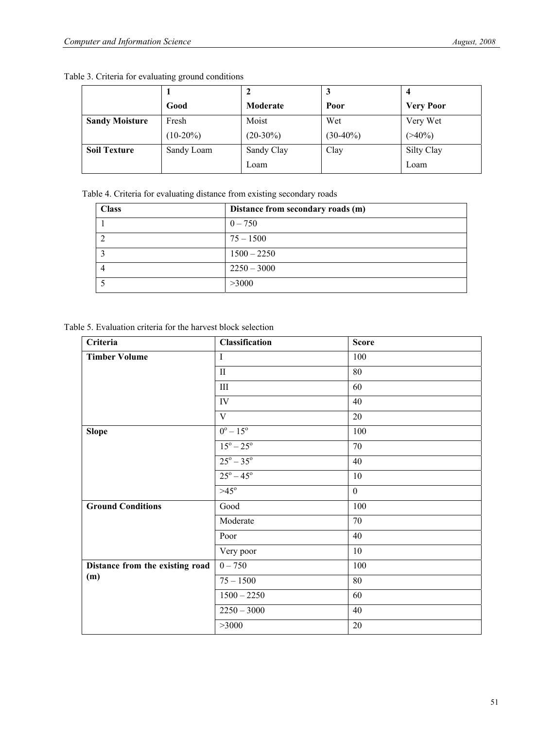|  |  | Table 3. Criteria for evaluating ground conditions |
|--|--|----------------------------------------------------|

|                       | Good        | Moderate    | Poor        | <b>Very Poor</b> |
|-----------------------|-------------|-------------|-------------|------------------|
| <b>Sandy Moisture</b> | Fresh       | Moist       | Wet         | Very Wet         |
|                       | $(10-20\%)$ | $(20-30\%)$ | $(30-40\%)$ | $(>40\%)$        |
| <b>Soil Texture</b>   | Sandy Loam  | Sandy Clay  | Clay        | Silty Clay       |
|                       |             | Loam        |             | Loam             |

Table 4. Criteria for evaluating distance from existing secondary roads

| <b>Class</b> | Distance from secondary roads (m) |
|--------------|-----------------------------------|
|              | $0 - 750$                         |
|              | $75 - 1500$                       |
|              | $1500 - 2250$                     |
|              | $2250 - 3000$                     |
|              | >3000                             |

Table 5. Evaluation criteria for the harvest block selection

| Criteria                        | Classification            | <b>Score</b>     |
|---------------------------------|---------------------------|------------------|
| <b>Timber Volume</b>            | $\mathbf I$               | 100              |
|                                 | $\rm II$                  | $80\,$           |
|                                 | $\rm III$                 | 60               |
|                                 | IV                        | 40               |
|                                 | $\mathbf V$               | 20               |
| <b>Slope</b>                    | $0^{\circ} - 15^{\circ}$  | 100              |
|                                 | $15^{\circ} - 25^{\circ}$ | $70\,$           |
|                                 | $25^{\circ} - 35^{\circ}$ | 40               |
|                                 | $25^{\circ} - 45^{\circ}$ | $10\,$           |
|                                 | $>45^\circ$               | $\boldsymbol{0}$ |
| <b>Ground Conditions</b>        | Good                      | 100              |
|                                 | Moderate                  | 70               |
|                                 | Poor                      | 40               |
|                                 | Very poor                 | 10               |
| Distance from the existing road | $0 - 750$                 | 100              |
| (m)                             | $75 - 1500$               | 80               |
|                                 | $\overline{1500} - 2250$  | 60               |
|                                 | $2250 - 3000$             | 40               |
|                                 | >3000                     | $20\,$           |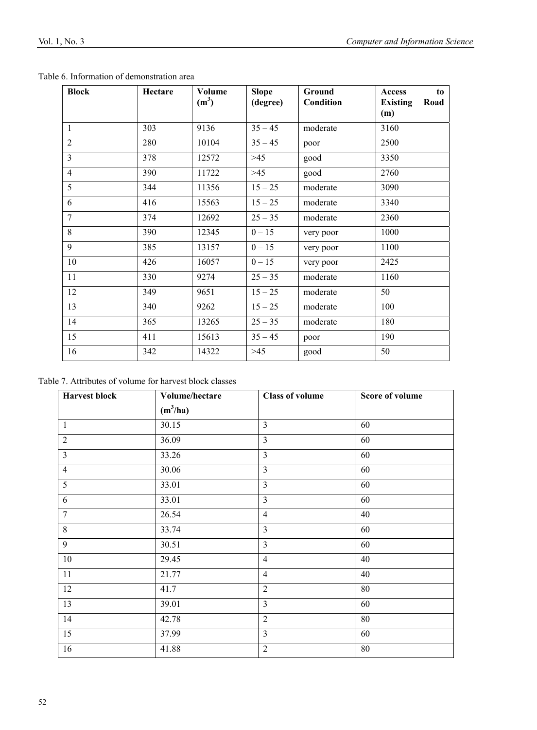| <b>Block</b>   | Hectare | Volume<br>$(m^3)$ | <b>Slope</b> | Ground    | Access<br>to                   |
|----------------|---------|-------------------|--------------|-----------|--------------------------------|
|                |         |                   | (degree)     | Condition | <b>Existing</b><br>Road<br>(m) |
| $\mathbf{1}$   | 303     | 9136              | $35 - 45$    | moderate  | 3160                           |
| $\overline{2}$ | 280     | 10104             | $35 - 45$    | poor      | 2500                           |
| $\overline{3}$ | 378     | 12572             | $>45$        | good      | 3350                           |
| $\overline{4}$ | 390     | 11722             | $>45$        | good      | 2760                           |
| 5              | 344     | 11356             | $15 - 25$    | moderate  | 3090                           |
| 6              | 416     | 15563             | $15 - 25$    | moderate  | 3340                           |
| $\tau$         | 374     | 12692             | $25 - 35$    | moderate  | 2360                           |
| 8              | 390     | 12345             | $0 - 15$     | very poor | 1000                           |
| 9              | 385     | 13157             | $0 - 15$     | very poor | 1100                           |
| 10             | 426     | 16057             | $0 - 15$     | very poor | 2425                           |
| 11             | 330     | 9274              | $25 - 35$    | moderate  | 1160                           |
| 12             | 349     | 9651              | $15 - 25$    | moderate  | 50                             |
| 13             | 340     | 9262              | $15 - 25$    | moderate  | 100                            |
| 14             | 365     | 13265             | $25 - 35$    | moderate  | 180                            |
| 15             | 411     | 15613             | $35 - 45$    | poor      | 190                            |
| 16             | 342     | 14322             | $>45$        | good      | 50                             |

Table 6. Information of demonstration area

Table 7. Attributes of volume for harvest block classes

| <b>Harvest block</b> | Volume/hectare | <b>Class of volume</b> | <b>Score of volume</b> |
|----------------------|----------------|------------------------|------------------------|
|                      | $(m^3/ha)$     |                        |                        |
| $\mathbf{1}$         | 30.15          | $\overline{3}$         | 60                     |
| $\overline{2}$       | 36.09          | $\overline{3}$         | 60                     |
| $\overline{3}$       | 33.26          | $\overline{3}$         | 60                     |
| $\overline{4}$       | 30.06          | $\overline{3}$         | 60                     |
| 5                    | 33.01          | 3                      | 60                     |
| 6                    | 33.01          | 3                      | 60                     |
| $7\phantom{.0}$      | 26.54          | $\overline{4}$         | 40                     |
| $8\,$                | 33.74          | $\overline{3}$         | 60                     |
| 9                    | 30.51          | $\overline{3}$         | 60                     |
| $10\,$               | 29.45          | $\overline{4}$         | 40                     |
| 11                   | 21.77          | $\overline{4}$         | 40                     |
| 12                   | 41.7           | $\overline{2}$         | $80\,$                 |
| 13                   | 39.01          | $\overline{3}$         | 60                     |
| 14                   | 42.78          | $\overline{2}$         | 80                     |
| 15                   | 37.99          | $\overline{3}$         | 60                     |
| 16                   | 41.88          | $\overline{2}$         | 80                     |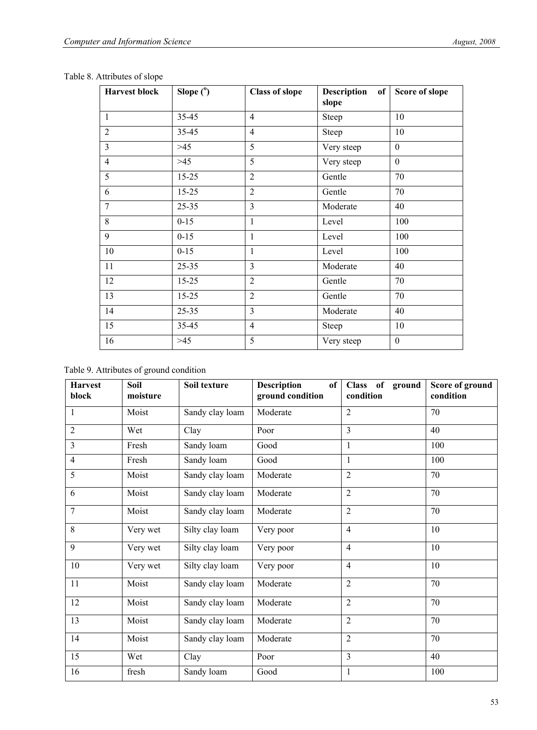| <b>Harvest block</b> | Slope $(°)$ | <b>Class of slope</b> | Description of Score of slope<br>slope |                  |
|----------------------|-------------|-----------------------|----------------------------------------|------------------|
| 1                    | $35 - 45$   | $\overline{4}$        | Steep                                  | 10               |
| $\overline{2}$       | 35-45       | $\overline{4}$        | Steep                                  | 10               |
| $\overline{3}$       | $>45$       | 5                     | Very steep                             | $\mathbf{0}$     |
| $\overline{4}$       | $>45$       | 5                     | Very steep                             | $\overline{0}$   |
| 5                    | $15 - 25$   | $\overline{2}$        | Gentle                                 | 70               |
| 6                    | $15 - 25$   | $\overline{2}$        | Gentle                                 | 70               |
| 7                    | $25 - 35$   | 3                     | Moderate                               | 40               |
| 8                    | $0 - 15$    | 1                     | Level                                  | 100              |
| 9                    | $0 - 15$    | 1                     | Level                                  | 100              |
| 10                   | $0 - 15$    | 1                     | Level                                  | 100              |
| 11                   | $25 - 35$   | $\overline{3}$        | Moderate                               | 40               |
| 12                   | $15 - 25$   | $\overline{2}$        | Gentle                                 | 70               |
| 13                   | $15 - 25$   | $\overline{2}$        | Gentle                                 | 70               |
| 14                   | $25 - 35$   | $\overline{3}$        | Moderate                               | 40               |
| 15                   | 35-45       | $\overline{4}$        | Steep                                  | 10               |
| 16                   | $>45$       | 5                     | Very steep                             | $\boldsymbol{0}$ |

Table 8. Attributes of slope

| <b>Harvest</b><br>block | Soil<br>moisture | Soil texture    | <b>Description</b><br>of<br>ground condition | Class of ground<br>condition | Score of ground<br>condition |
|-------------------------|------------------|-----------------|----------------------------------------------|------------------------------|------------------------------|
| $\mathbf{1}$            | Moist            | Sandy clay loam | Moderate                                     | $\overline{2}$               | 70                           |
| $\overline{2}$          | Wet              | Clay            | Poor                                         | $\overline{3}$               | 40                           |
| 3                       | Fresh            | Sandy loam      | Good                                         | 1                            | 100                          |
| $\overline{4}$          | Fresh            | Sandy loam      | Good                                         | 1                            | 100                          |
| 5                       | Moist            | Sandy clay loam | Moderate                                     | $\overline{2}$               | 70                           |
| 6                       | Moist            | Sandy clay loam | Moderate                                     | $\overline{2}$               | 70                           |
| $\overline{7}$          | Moist            | Sandy clay loam | Moderate                                     | $\overline{2}$               | 70                           |
| 8                       | Very wet         | Silty clay loam | Very poor                                    | $\overline{4}$               | 10                           |
| 9                       | Very wet         | Silty clay loam | Very poor                                    | $\overline{4}$               | 10                           |
| 10                      | Very wet         | Silty clay loam | Very poor                                    | $\overline{4}$               | 10                           |
| 11                      | Moist            | Sandy clay loam | Moderate                                     | $\overline{2}$               | 70                           |
| 12                      | Moist            | Sandy clay loam | Moderate                                     | $\overline{2}$               | 70                           |
| 13                      | Moist            | Sandy clay loam | Moderate                                     | $\overline{2}$               | 70                           |
| 14                      | Moist            | Sandy clay loam | Moderate                                     | $\overline{2}$               | 70                           |
| 15                      | Wet              | Clay            | Poor                                         | $\overline{3}$               | 40                           |
| 16                      | fresh            | Sandy loam      | Good                                         | 1                            | 100                          |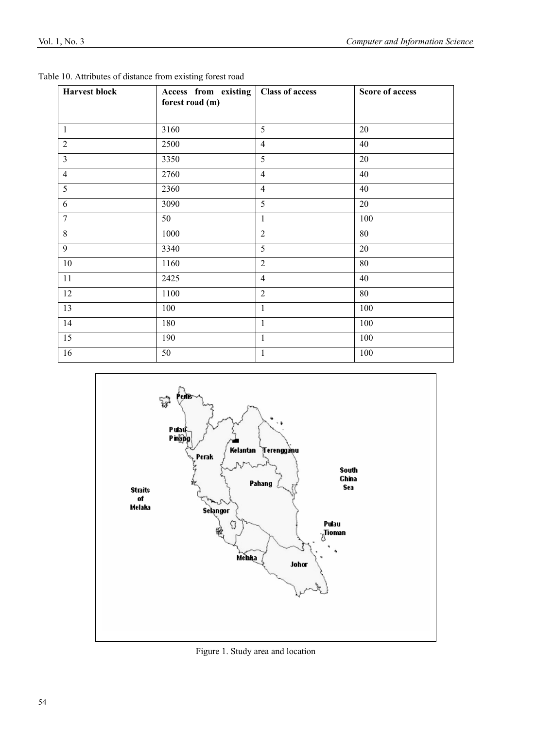| <b>Harvest block</b> | Access from existing<br>forest road (m) | <b>Class of access</b> | <b>Score of access</b> |
|----------------------|-----------------------------------------|------------------------|------------------------|
| $\mathbf{1}$         | 3160                                    | 5                      | 20                     |
| $\overline{2}$       | 2500                                    | $\overline{4}$         | 40                     |
| $\overline{3}$       | 3350                                    | 5                      | 20                     |
| $\overline{4}$       | 2760                                    | $\overline{4}$         | 40                     |
| $\overline{5}$       | 2360                                    | $\overline{4}$         | 40                     |
| 6                    | 3090                                    | 5                      | 20                     |
| $\overline{7}$       | 50                                      | $\mathbf{1}$           | 100                    |
| 8                    | 1000                                    | $\overline{2}$         | 80                     |
| 9                    | 3340                                    | 5                      | 20                     |
| 10                   | 1160                                    | $\overline{2}$         | 80                     |
| 11                   | 2425                                    | $\overline{4}$         | 40                     |
| 12                   | 1100                                    | $\overline{2}$         | 80                     |
| 13                   | 100                                     | $\mathbf{1}$           | 100                    |
| 14                   | 180                                     | $\mathbf{1}$           | 100                    |
| 15                   | 190                                     | $\mathbf{1}$           | 100                    |
| 16                   | 50                                      | $\mathbf{1}$           | 100                    |

| Table 10. Attributes of distance from existing forest road |
|------------------------------------------------------------|
|------------------------------------------------------------|



Figure 1. Study area and location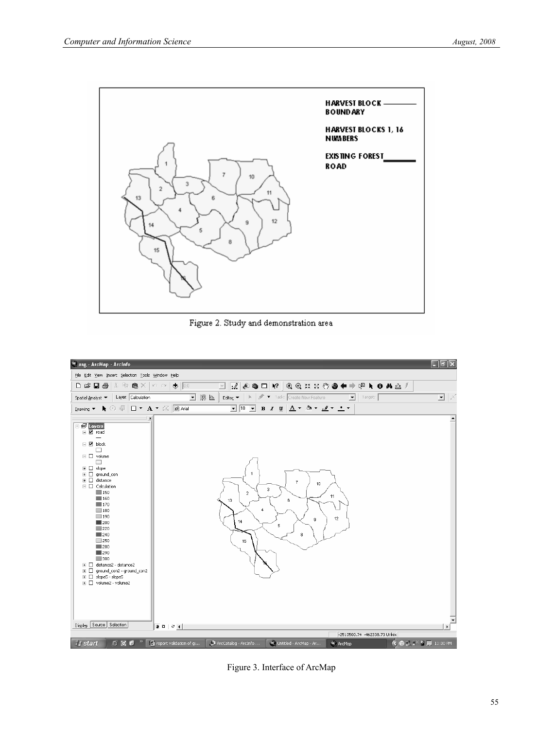

Figure 2. Study and demonstration area



Figure 3. Interface of ArcMap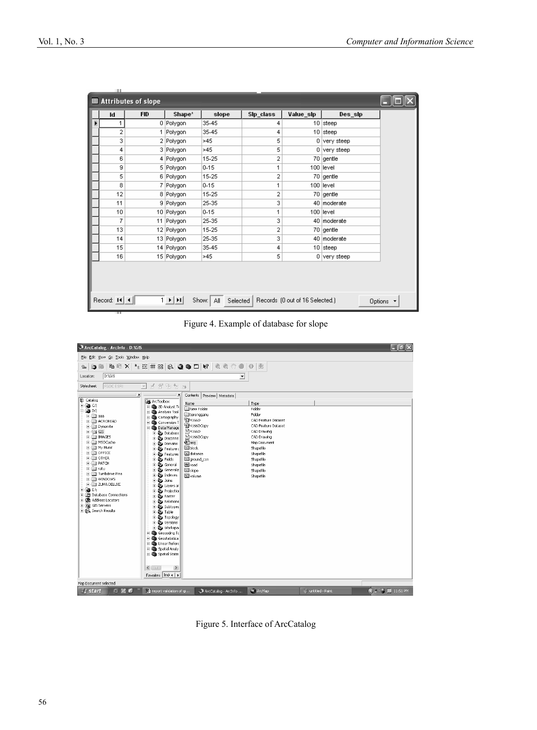| <b>囲 Attributes of slope</b> |                |            |            |          |                |           |                |  |
|------------------------------|----------------|------------|------------|----------|----------------|-----------|----------------|--|
|                              | Id             | <b>FID</b> | Shape*     | slope    | Sip_class      | Value_sip | Des_sip        |  |
| Þ                            | 1              |            | 0 Polygon  | 35-45    | 4              |           | 10 steep       |  |
|                              | $\overline{2}$ |            | 1 Polygon  | 35-45    | 4              |           | $10$ steep     |  |
|                              | 3              |            | 2 Polygon  | >45      | 5              |           | $0$ very steep |  |
|                              | 4              |            | 3 Polygon  | >45      | 5              |           | 0 very steep   |  |
|                              | 6              |            | 4 Polygon  | 15-25    | $\overline{a}$ |           | 70 gentle      |  |
|                              | 9              |            | 5 Polygon  | $0 - 15$ | 1              |           | 100 llevel     |  |
|                              | 5              |            | 6 Polygon  | 15-25    | 2              |           | 70 gentle      |  |
|                              | 8              |            | 7 Polygon  | $0 - 15$ | 1              |           | 100 llevel     |  |
|                              | 12             |            | 8 Polygon  | 15-25    | 2              |           | 70 gentle      |  |
|                              | 11             |            | 9 Polygon  | 25-35    | 3              |           | 40 moderate    |  |
|                              | 10             |            | 10 Polygon | $0 - 15$ | 1              |           | 100 level      |  |
|                              | 7              |            | 11 Polygon | 25-35    | 3              |           | 40 moderate    |  |
|                              | 13             |            | 12 Polygon | 15-25    | 2              |           | 70 gentle      |  |
|                              | 14             |            | 13 Polygon | 25-35    | 3              |           | 40 moderate    |  |
|                              | 15             |            | 14 Polygon | 35-45    | 4              |           | $10$ steep     |  |
|                              | 16             |            | 15 Polygon | >45      | 5              |           | $0$ very steep |  |
|                              |                |            |            |          |                |           |                |  |

Figure 4. Example of database for slope



Figure 5. Interface of ArcCatalog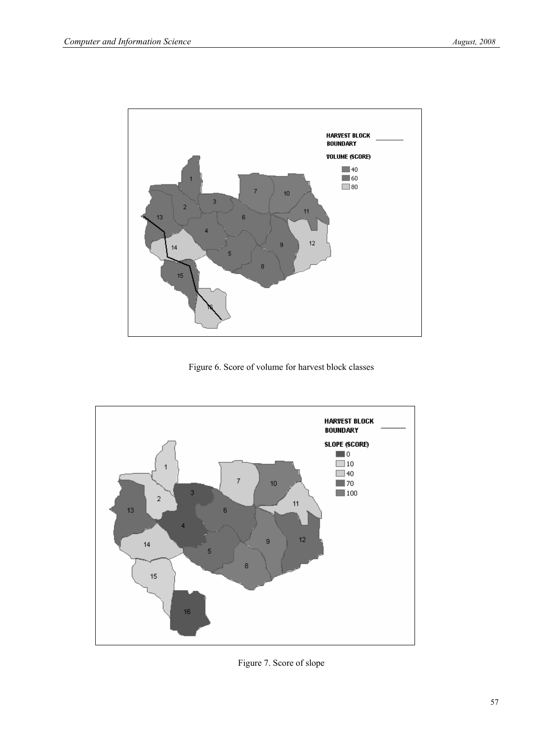

Figure 6. Score of volume for harvest block classes



Figure 7. Score of slope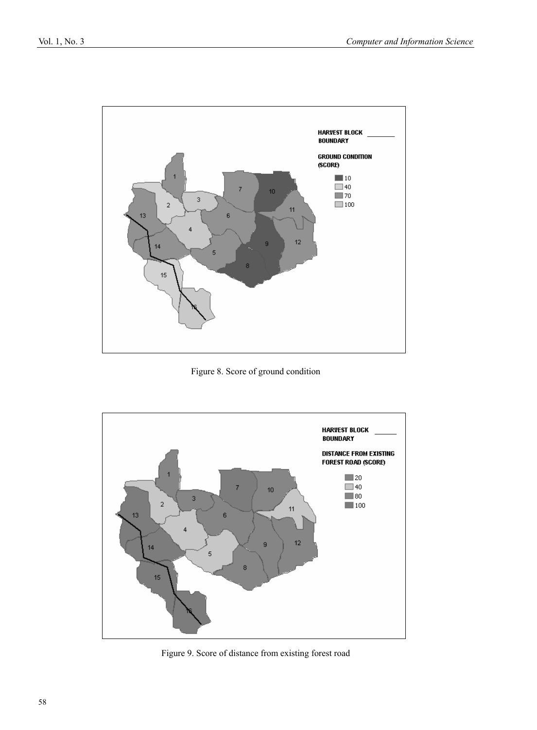

Figure 8. Score of ground condition



Figure 9. Score of distance from existing forest road